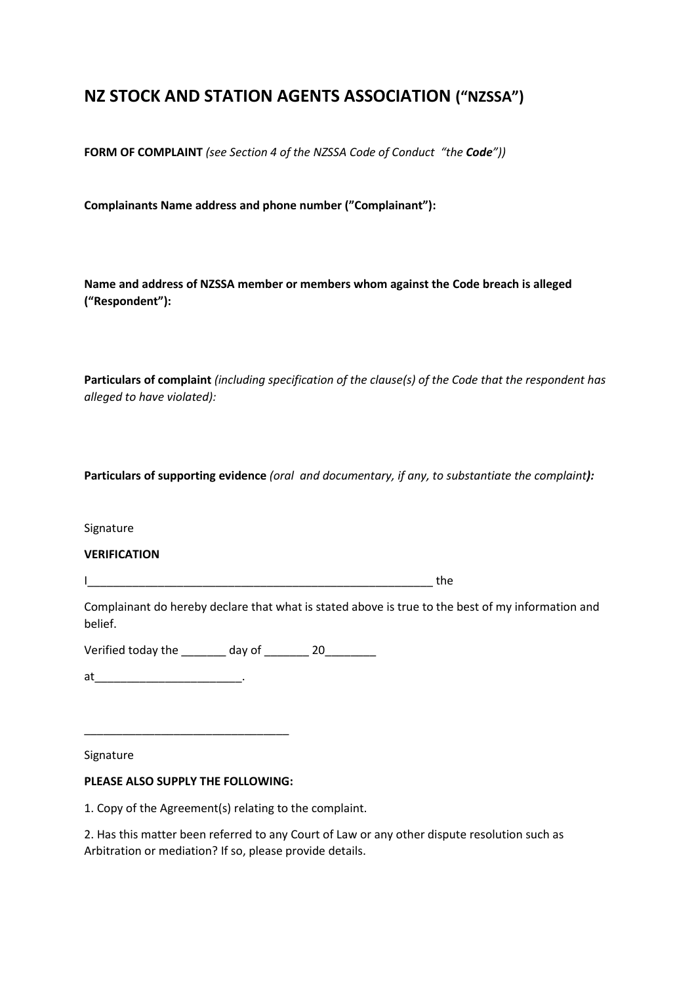# **NZ STOCK AND STATION AGENTS ASSOCIATION ("NZSSA")**

**FORM OF COMPLAINT** *(see Section 4 of the NZSSA Code of Conduct "the Code"))*

**Complainants Name address and phone number ("Complainant"):**

**Name and address of NZSSA member or members whom against the Code breach is alleged ("Respondent"):**

**Particulars of complaint** *(including specification of the clause(s) of the Code that the respondent has alleged to have violated):*

**Particulars of supporting evidence** *(oral and documentary, if any, to substantiate the complaint):*

Signature

**VERIFICATION**

I\_\_\_\_\_\_\_\_\_\_\_\_\_\_\_\_\_\_\_\_\_\_\_\_\_\_\_\_\_\_\_\_\_\_\_\_\_\_\_\_\_\_\_\_\_\_\_\_\_\_\_\_\_\_ the

Complainant do hereby declare that what is stated above is true to the best of my information and belief.

Verified today the \_\_\_\_\_\_\_ day of \_\_\_\_\_\_\_ 20\_\_\_\_\_\_\_\_

at\_\_\_\_\_\_\_\_\_\_\_\_\_\_\_\_\_\_\_\_\_\_\_.

Signature

#### **PLEASE ALSO SUPPLY THE FOLLOWING:**

\_\_\_\_\_\_\_\_\_\_\_\_\_\_\_\_\_\_\_\_\_\_\_\_\_\_\_\_\_\_\_\_

1. Copy of the Agreement(s) relating to the complaint.

2. Has this matter been referred to any Court of Law or any other dispute resolution such as Arbitration or mediation? If so, please provide details.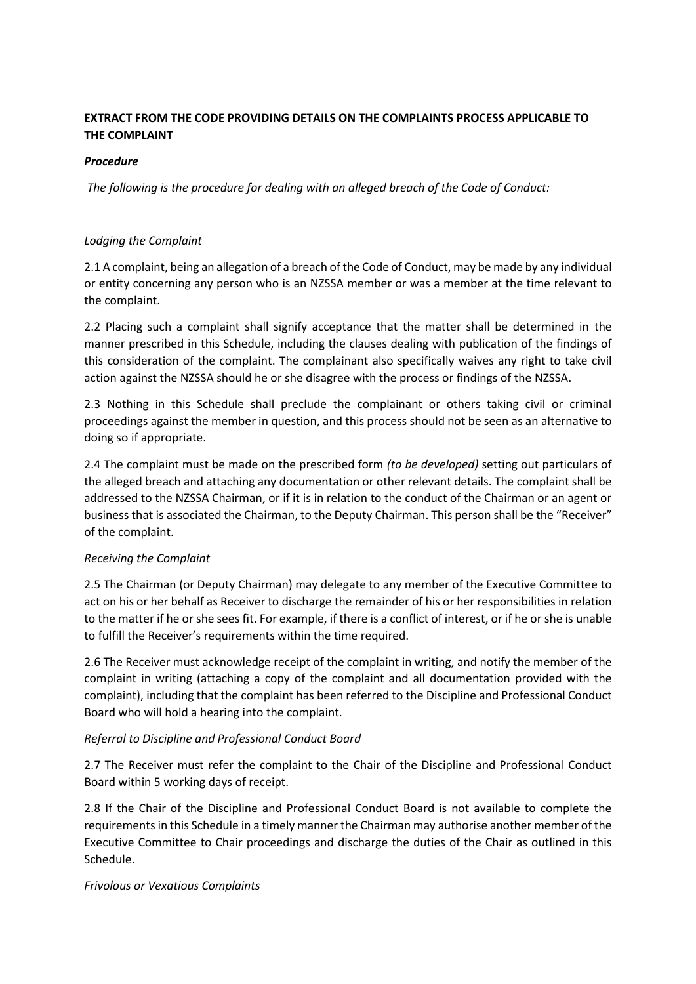## **EXTRACT FROM THE CODE PROVIDING DETAILS ON THE COMPLAINTS PROCESS APPLICABLE TO THE COMPLAINT**

#### *Procedure*

*The following is the procedure for dealing with an alleged breach of the Code of Conduct:*

#### *Lodging the Complaint*

2.1 A complaint, being an allegation of a breach of the Code of Conduct, may be made by any individual or entity concerning any person who is an NZSSA member or was a member at the time relevant to the complaint.

2.2 Placing such a complaint shall signify acceptance that the matter shall be determined in the manner prescribed in this Schedule, including the clauses dealing with publication of the findings of this consideration of the complaint. The complainant also specifically waives any right to take civil action against the NZSSA should he or she disagree with the process or findings of the NZSSA.

2.3 Nothing in this Schedule shall preclude the complainant or others taking civil or criminal proceedings against the member in question, and this process should not be seen as an alternative to doing so if appropriate.

2.4 The complaint must be made on the prescribed form *(to be developed)* setting out particulars of the alleged breach and attaching any documentation or other relevant details. The complaint shall be addressed to the NZSSA Chairman, or if it is in relation to the conduct of the Chairman or an agent or business that is associated the Chairman, to the Deputy Chairman. This person shall be the "Receiver" of the complaint.

## *Receiving the Complaint*

2.5 The Chairman (or Deputy Chairman) may delegate to any member of the Executive Committee to act on his or her behalf as Receiver to discharge the remainder of his or her responsibilities in relation to the matter if he or she sees fit. For example, if there is a conflict of interest, or if he or she is unable to fulfill the Receiver's requirements within the time required.

2.6 The Receiver must acknowledge receipt of the complaint in writing, and notify the member of the complaint in writing (attaching a copy of the complaint and all documentation provided with the complaint), including that the complaint has been referred to the Discipline and Professional Conduct Board who will hold a hearing into the complaint.

#### *Referral to Discipline and Professional Conduct Board*

2.7 The Receiver must refer the complaint to the Chair of the Discipline and Professional Conduct Board within 5 working days of receipt.

2.8 If the Chair of the Discipline and Professional Conduct Board is not available to complete the requirements in this Schedule in a timely manner the Chairman may authorise another member of the Executive Committee to Chair proceedings and discharge the duties of the Chair as outlined in this Schedule.

#### *Frivolous or Vexatious Complaints*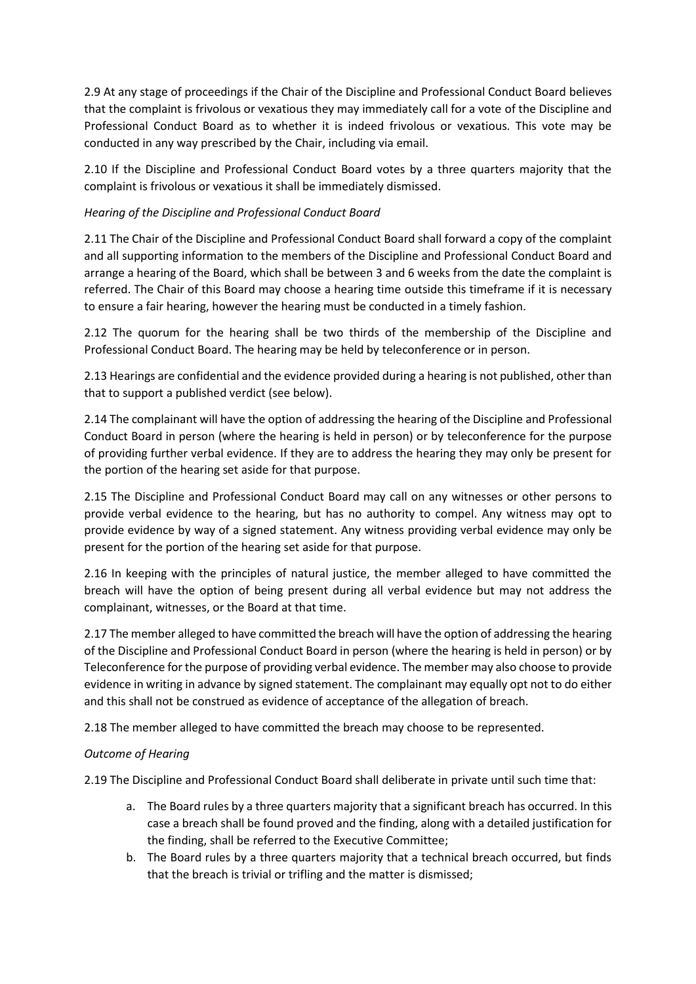2.9 At any stage of proceedings if the Chair of the Discipline and Professional Conduct Board believes that the complaint is frivolous or vexatious they may immediately call for a vote of the Discipline and Professional Conduct Board as to whether it is indeed frivolous or vexatious. This vote may be conducted in any way prescribed by the Chair, including via email.

2.10 If the Discipline and Professional Conduct Board votes by a three quarters majority that the complaint is frivolous or vexatious it shall be immediately dismissed.

## *Hearing of the Discipline and Professional Conduct Board*

2.11 The Chair of the Discipline and Professional Conduct Board shall forward a copy of the complaint and all supporting information to the members of the Discipline and Professional Conduct Board and arrange a hearing of the Board, which shall be between 3 and 6 weeks from the date the complaint is referred. The Chair of this Board may choose a hearing time outside this timeframe if it is necessary to ensure a fair hearing, however the hearing must be conducted in a timely fashion.

2.12 The quorum for the hearing shall be two thirds of the membership of the Discipline and Professional Conduct Board. The hearing may be held by teleconference or in person.

2.13 Hearings are confidential and the evidence provided during a hearing is not published, other than that to support a published verdict (see below).

2.14 The complainant will have the option of addressing the hearing of the Discipline and Professional Conduct Board in person (where the hearing is held in person) or by teleconference for the purpose of providing further verbal evidence. If they are to address the hearing they may only be present for the portion of the hearing set aside for that purpose.

2.15 The Discipline and Professional Conduct Board may call on any witnesses or other persons to provide verbal evidence to the hearing, but has no authority to compel. Any witness may opt to provide evidence by way of a signed statement. Any witness providing verbal evidence may only be present for the portion of the hearing set aside for that purpose.

2.16 In keeping with the principles of natural justice, the member alleged to have committed the breach will have the option of being present during all verbal evidence but may not address the complainant, witnesses, or the Board at that time.

2.17 The member alleged to have committed the breach will have the option of addressing the hearing of the Discipline and Professional Conduct Board in person (where the hearing is held in person) or by Teleconference for the purpose of providing verbal evidence. The member may also choose to provide evidence in writing in advance by signed statement. The complainant may equally opt not to do either and this shall not be construed as evidence of acceptance of the allegation of breach.

2.18 The member alleged to have committed the breach may choose to be represented.

## *Outcome of Hearing*

2.19 The Discipline and Professional Conduct Board shall deliberate in private until such time that:

- a. The Board rules by a three quarters majority that a significant breach has occurred. In this case a breach shall be found proved and the finding, along with a detailed justification for the finding, shall be referred to the Executive Committee;
- b. The Board rules by a three quarters majority that a technical breach occurred, but finds that the breach is trivial or trifling and the matter is dismissed;